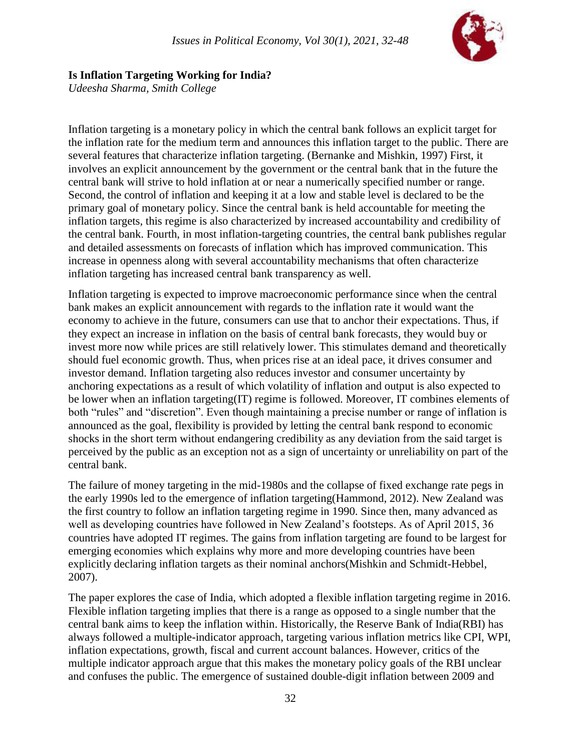

### **Is Inflation Targeting Working for India?**

*Udeesha Sharma, Smith College*

Inflation targeting is a monetary policy in which the central bank follows an explicit target for the inflation rate for the medium term and announces this inflation target to the public. There are several features that characterize inflation targeting. (Bernanke and Mishkin, 1997) First, it involves an explicit announcement by the government or the central bank that in the future the central bank will strive to hold inflation at or near a numerically specified number or range. Second, the control of inflation and keeping it at a low and stable level is declared to be the primary goal of monetary policy. Since the central bank is held accountable for meeting the inflation targets, this regime is also characterized by increased accountability and credibility of the central bank. Fourth, in most inflation-targeting countries, the central bank publishes regular and detailed assessments on forecasts of inflation which has improved communication. This increase in openness along with several accountability mechanisms that often characterize inflation targeting has increased central bank transparency as well.

Inflation targeting is expected to improve macroeconomic performance since when the central bank makes an explicit announcement with regards to the inflation rate it would want the economy to achieve in the future, consumers can use that to anchor their expectations. Thus, if they expect an increase in inflation on the basis of central bank forecasts, they would buy or invest more now while prices are still relatively lower. This stimulates demand and theoretically should fuel economic growth. Thus, when prices rise at an ideal pace, it drives consumer and investor demand. Inflation targeting also reduces investor and consumer uncertainty by anchoring expectations as a result of which volatility of inflation and output is also expected to be lower when an inflation targeting(IT) regime is followed. Moreover, IT combines elements of both "rules" and "discretion". Even though maintaining a precise number or range of inflation is announced as the goal, flexibility is provided by letting the central bank respond to economic shocks in the short term without endangering credibility as any deviation from the said target is perceived by the public as an exception not as a sign of uncertainty or unreliability on part of the central bank.

The failure of money targeting in the mid-1980s and the collapse of fixed exchange rate pegs in the early 1990s led to the emergence of inflation targeting(Hammond, 2012). New Zealand was the first country to follow an inflation targeting regime in 1990. Since then, many advanced as well as developing countries have followed in New Zealand's footsteps. As of April 2015, 36 countries have adopted IT regimes. The gains from inflation targeting are found to be largest for emerging economies which explains why more and more developing countries have been explicitly declaring inflation targets as their nominal anchors(Mishkin and Schmidt-Hebbel, 2007).

The paper explores the case of India, which adopted a flexible inflation targeting regime in 2016. Flexible inflation targeting implies that there is a range as opposed to a single number that the central bank aims to keep the inflation within. Historically, the Reserve Bank of India(RBI) has always followed a multiple-indicator approach, targeting various inflation metrics like CPI, WPI, inflation expectations, growth, fiscal and current account balances. However, critics of the multiple indicator approach argue that this makes the monetary policy goals of the RBI unclear and confuses the public. The emergence of sustained double-digit inflation between 2009 and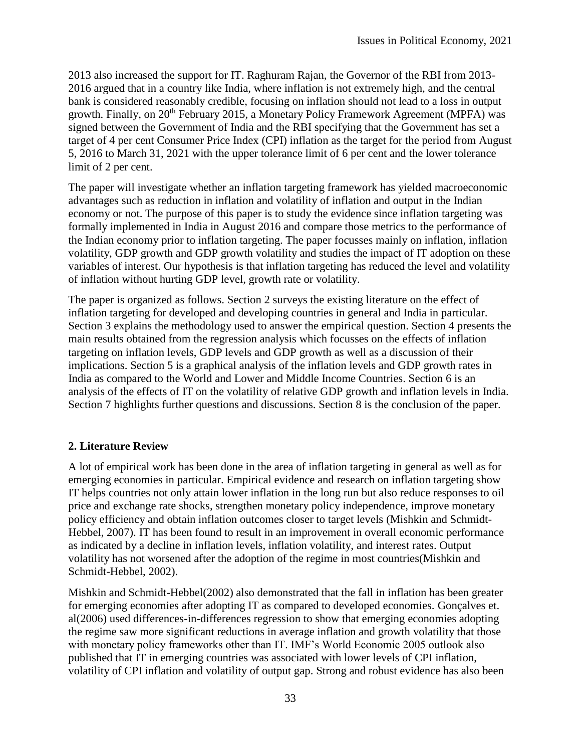2013 also increased the support for IT. Raghuram Rajan, the Governor of the RBI from 2013- 2016 argued that in a country like India, where inflation is not extremely high, and the central bank is considered reasonably credible, focusing on inflation should not lead to a loss in output growth. Finally, on 20<sup>th</sup> February 2015, a Monetary Policy Framework Agreement (MPFA) was signed between the Government of India and the RBI specifying that the Government has set a target of 4 per cent Consumer Price Index (CPI) inflation as the target for the period from August 5, 2016 to March 31, 2021 with the upper tolerance limit of 6 per cent and the lower tolerance limit of 2 per cent.

The paper will investigate whether an inflation targeting framework has yielded macroeconomic advantages such as reduction in inflation and volatility of inflation and output in the Indian economy or not. The purpose of this paper is to study the evidence since inflation targeting was formally implemented in India in August 2016 and compare those metrics to the performance of the Indian economy prior to inflation targeting. The paper focusses mainly on inflation, inflation volatility, GDP growth and GDP growth volatility and studies the impact of IT adoption on these variables of interest. Our hypothesis is that inflation targeting has reduced the level and volatility of inflation without hurting GDP level, growth rate or volatility.

The paper is organized as follows. Section 2 surveys the existing literature on the effect of inflation targeting for developed and developing countries in general and India in particular. Section 3 explains the methodology used to answer the empirical question. Section 4 presents the main results obtained from the regression analysis which focusses on the effects of inflation targeting on inflation levels, GDP levels and GDP growth as well as a discussion of their implications. Section 5 is a graphical analysis of the inflation levels and GDP growth rates in India as compared to the World and Lower and Middle Income Countries. Section 6 is an analysis of the effects of IT on the volatility of relative GDP growth and inflation levels in India. Section 7 highlights further questions and discussions. Section 8 is the conclusion of the paper.

### **2. Literature Review**

A lot of empirical work has been done in the area of inflation targeting in general as well as for emerging economies in particular. Empirical evidence and research on inflation targeting show IT helps countries not only attain lower inflation in the long run but also reduce responses to oil price and exchange rate shocks, strengthen monetary policy independence, improve monetary policy efficiency and obtain inflation outcomes closer to target levels (Mishkin and Schmidt-Hebbel, 2007). IT has been found to result in an improvement in overall economic performance as indicated by a decline in inflation levels, inflation volatility, and interest rates. Output volatility has not worsened after the adoption of the regime in most countries(Mishkin and Schmidt-Hebbel, 2002).

Mishkin and Schmidt-Hebbel(2002) also demonstrated that the fall in inflation has been greater for emerging economies after adopting IT as compared to developed economies. Gonçalves et. al(2006) used differences-in-differences regression to show that emerging economies adopting the regime saw more significant reductions in average inflation and growth volatility that those with monetary policy frameworks other than IT. IMF's World Economic 2005 outlook also published that IT in emerging countries was associated with lower levels of CPI inflation, volatility of CPI inflation and volatility of output gap. Strong and robust evidence has also been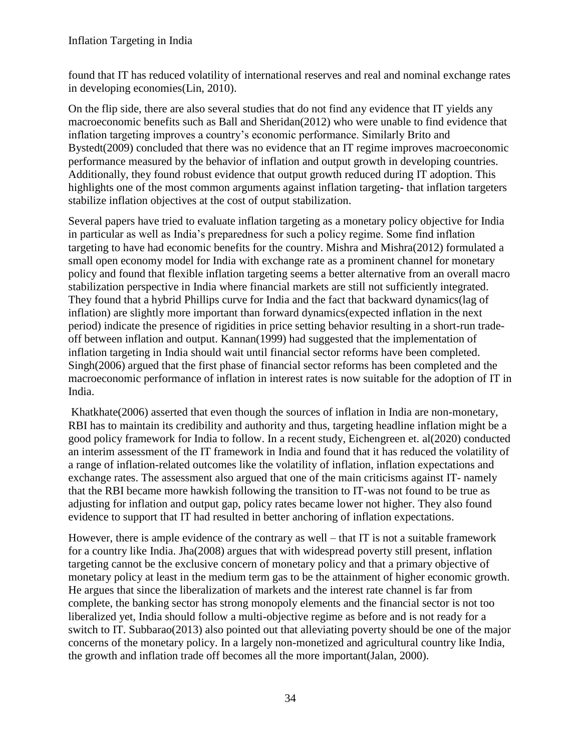found that IT has reduced volatility of international reserves and real and nominal exchange rates in developing economies(Lin, 2010).

On the flip side, there are also several studies that do not find any evidence that IT yields any macroeconomic benefits such as Ball and Sheridan(2012) who were unable to find evidence that inflation targeting improves a country's economic performance. Similarly Brito and Bystedt(2009) concluded that there was no evidence that an IT regime improves macroeconomic performance measured by the behavior of inflation and output growth in developing countries. Additionally, they found robust evidence that output growth reduced during IT adoption. This highlights one of the most common arguments against inflation targeting- that inflation targeters stabilize inflation objectives at the cost of output stabilization.

Several papers have tried to evaluate inflation targeting as a monetary policy objective for India in particular as well as India's preparedness for such a policy regime. Some find inflation targeting to have had economic benefits for the country. Mishra and Mishra(2012) formulated a small open economy model for India with exchange rate as a prominent channel for monetary policy and found that flexible inflation targeting seems a better alternative from an overall macro stabilization perspective in India where financial markets are still not sufficiently integrated. They found that a hybrid Phillips curve for India and the fact that backward dynamics(lag of inflation) are slightly more important than forward dynamics(expected inflation in the next period) indicate the presence of rigidities in price setting behavior resulting in a short-run tradeoff between inflation and output. Kannan(1999) had suggested that the implementation of inflation targeting in India should wait until financial sector reforms have been completed. Singh(2006) argued that the first phase of financial sector reforms has been completed and the macroeconomic performance of inflation in interest rates is now suitable for the adoption of IT in India.

Khatkhate(2006) asserted that even though the sources of inflation in India are non-monetary, RBI has to maintain its credibility and authority and thus, targeting headline inflation might be a good policy framework for India to follow. In a recent study, Eichengreen et. al(2020) conducted an interim assessment of the IT framework in India and found that it has reduced the volatility of a range of inflation-related outcomes like the volatility of inflation, inflation expectations and exchange rates. The assessment also argued that one of the main criticisms against IT- namely that the RBI became more hawkish following the transition to IT-was not found to be true as adjusting for inflation and output gap, policy rates became lower not higher. They also found evidence to support that IT had resulted in better anchoring of inflation expectations.

However, there is ample evidence of the contrary as well – that IT is not a suitable framework for a country like India. Jha(2008) argues that with widespread poverty still present, inflation targeting cannot be the exclusive concern of monetary policy and that a primary objective of monetary policy at least in the medium term gas to be the attainment of higher economic growth. He argues that since the liberalization of markets and the interest rate channel is far from complete, the banking sector has strong monopoly elements and the financial sector is not too liberalized yet, India should follow a multi-objective regime as before and is not ready for a switch to IT. Subbarao(2013) also pointed out that alleviating poverty should be one of the major concerns of the monetary policy. In a largely non-monetized and agricultural country like India, the growth and inflation trade off becomes all the more important(Jalan, 2000).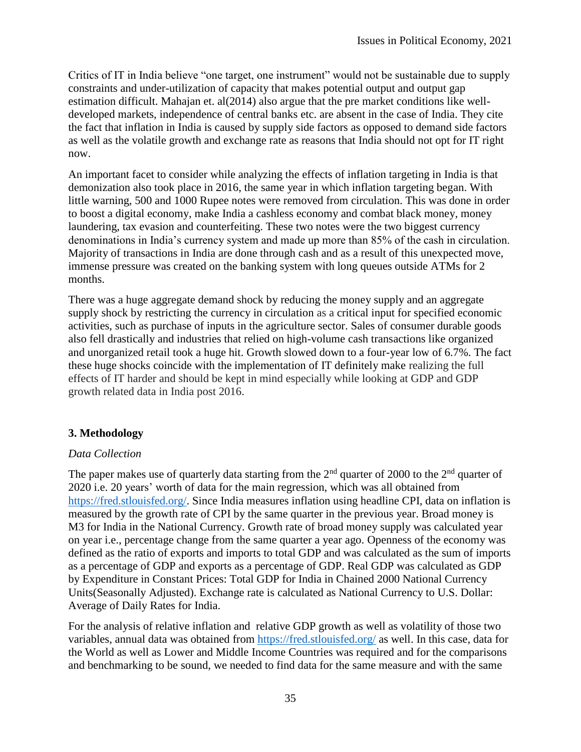Critics of IT in India believe "one target, one instrument" would not be sustainable due to supply constraints and under-utilization of capacity that makes potential output and output gap estimation difficult. Mahajan et. al(2014) also argue that the pre market conditions like welldeveloped markets, independence of central banks etc. are absent in the case of India. They cite the fact that inflation in India is caused by supply side factors as opposed to demand side factors as well as the volatile growth and exchange rate as reasons that India should not opt for IT right now.

An important facet to consider while analyzing the effects of inflation targeting in India is that demonization also took place in 2016, the same year in which inflation targeting began. With little warning, 500 and 1000 Rupee notes were removed from circulation. This was done in order to boost a digital economy, make India a cashless economy and combat black money, money laundering, tax evasion and counterfeiting. These two notes were the two biggest currency denominations in India's currency system and made up more than 85% of the cash in circulation. Majority of transactions in India are done through cash and as a result of this unexpected move, immense pressure was created on the banking system with long queues outside ATMs for 2 months.

There was a huge aggregate demand shock by reducing the money supply and an aggregate supply shock by restricting the currency in circulation as a critical input for specified economic activities, such as purchase of inputs in the agriculture sector. Sales of consumer durable goods also fell drastically and industries that relied on high-volume cash transactions like organized and unorganized retail took a huge hit. Growth slowed down to a four-year low of 6.7%. The fact these huge shocks coincide with the implementation of IT definitely make realizing the full effects of IT harder and should be kept in mind especially while looking at GDP and GDP growth related data in India post 2016.

#### **3. Methodology**

#### *Data Collection*

The paper makes use of quarterly data starting from the  $2<sup>nd</sup>$  quarter of 2000 to the  $2<sup>nd</sup>$  quarter of 2020 i.e. 20 years' worth of data for the main regression, which was all obtained from [https://fred.stlouisfed.org/.](https://fred.stlouisfed.org/) Since India measures inflation using headline CPI, data on inflation is measured by the growth rate of CPI by the same quarter in the previous year. Broad money is M3 for India in the National Currency. Growth rate of broad money supply was calculated year on year i.e., percentage change from the same quarter a year ago. Openness of the economy was defined as the ratio of exports and imports to total GDP and was calculated as the sum of imports as a percentage of GDP and exports as a percentage of GDP. Real GDP was calculated as GDP by Expenditure in Constant Prices: Total GDP for India in Chained 2000 National Currency Units(Seasonally Adjusted). Exchange rate is calculated as National Currency to U.S. Dollar: Average of Daily Rates for India.

For the analysis of relative inflation and relative GDP growth as well as volatility of those two variables, annual data was obtained from<https://fred.stlouisfed.org/> as well. In this case, data for the World as well as Lower and Middle Income Countries was required and for the comparisons and benchmarking to be sound, we needed to find data for the same measure and with the same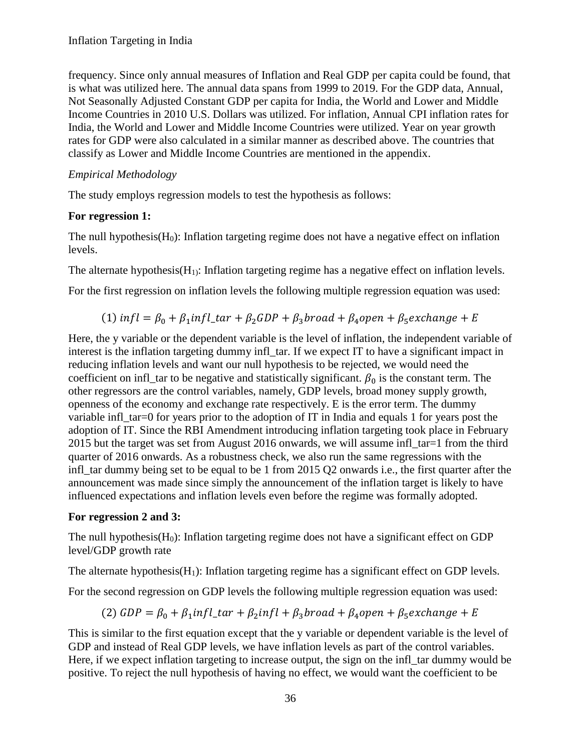frequency. Since only annual measures of Inflation and Real GDP per capita could be found, that is what was utilized here. The annual data spans from 1999 to 2019. For the GDP data, Annual, Not Seasonally Adjusted Constant GDP per capita for India, the World and Lower and Middle Income Countries in 2010 U.S. Dollars was utilized. For inflation, Annual CPI inflation rates for India, the World and Lower and Middle Income Countries were utilized. Year on year growth rates for GDP were also calculated in a similar manner as described above. The countries that classify as Lower and Middle Income Countries are mentioned in the appendix.

### *Empirical Methodology*

The study employs regression models to test the hypothesis as follows:

### **For regression 1:**

The null hypothesis( $H_0$ ): Inflation targeting regime does not have a negative effect on inflation levels.

The alternate hypothesis( $H<sub>1</sub>$ ): Inflation targeting regime has a negative effect on inflation levels.

For the first regression on inflation levels the following multiple regression equation was used:

(1) 
$$
infl = \beta_0 + \beta_1 infl_{\text{tar}} + \beta_2 GDP + \beta_3 broad + \beta_4 open + \beta_5 exchange + E
$$

Here, the y variable or the dependent variable is the level of inflation, the independent variable of interest is the inflation targeting dummy infl\_tar. If we expect IT to have a significant impact in reducing inflation levels and want our null hypothesis to be rejected, we would need the coefficient on infl\_tar to be negative and statistically significant.  $\beta_0$  is the constant term. The other regressors are the control variables, namely, GDP levels, broad money supply growth, openness of the economy and exchange rate respectively. E is the error term. The dummy variable infl\_tar=0 for years prior to the adoption of IT in India and equals 1 for years post the adoption of IT. Since the RBI Amendment introducing inflation targeting took place in February 2015 but the target was set from August 2016 onwards, we will assume infl\_tar=1 from the third quarter of 2016 onwards. As a robustness check, we also run the same regressions with the infl\_tar dummy being set to be equal to be 1 from 2015 Q2 onwards i.e., the first quarter after the announcement was made since simply the announcement of the inflation target is likely to have influenced expectations and inflation levels even before the regime was formally adopted.

#### **For regression 2 and 3:**

The null hypothesis( $H_0$ ): Inflation targeting regime does not have a significant effect on GDP level/GDP growth rate

The alternate hypothesis( $H_1$ ): Inflation targeting regime has a significant effect on GDP levels.

For the second regression on GDP levels the following multiple regression equation was used:

(2) 
$$
GDP = \beta_0 + \beta_1 infl_{tar} + \beta_2 infl + \beta_3 broad + \beta_4 open + \beta_5 exchange + E
$$

This is similar to the first equation except that the y variable or dependent variable is the level of GDP and instead of Real GDP levels, we have inflation levels as part of the control variables. Here, if we expect inflation targeting to increase output, the sign on the infl\_tar dummy would be positive. To reject the null hypothesis of having no effect, we would want the coefficient to be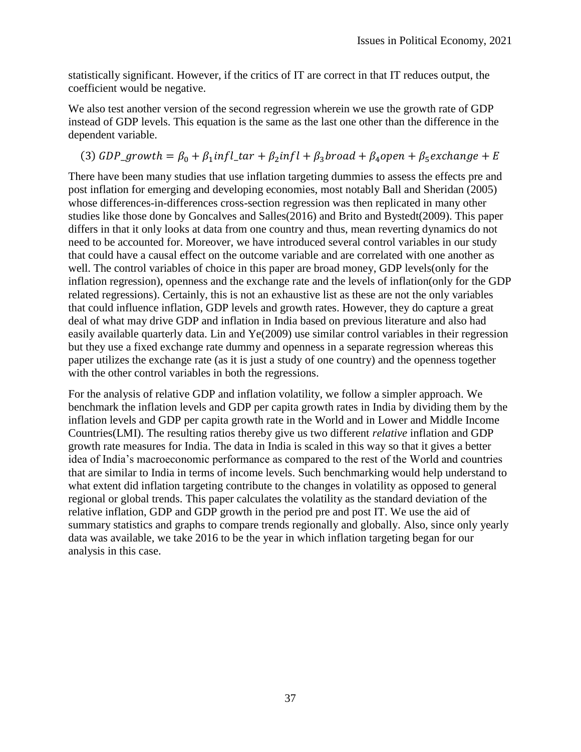statistically significant. However, if the critics of IT are correct in that IT reduces output, the coefficient would be negative.

We also test another version of the second regression wherein we use the growth rate of GDP instead of GDP levels. This equation is the same as the last one other than the difference in the dependent variable.

# (3)  $GDP\_growth = \beta_0 + \beta_1 infl\_tar + \beta_2 infl + \beta_3 broad + \beta_4 open + \beta_5 exchange + E$

There have been many studies that use inflation targeting dummies to assess the effects pre and post inflation for emerging and developing economies, most notably Ball and Sheridan (2005) whose differences-in-differences cross-section regression was then replicated in many other studies like those done by Goncalves and Salles(2016) and Brito and Bystedt(2009). This paper differs in that it only looks at data from one country and thus, mean reverting dynamics do not need to be accounted for. Moreover, we have introduced several control variables in our study that could have a causal effect on the outcome variable and are correlated with one another as well. The control variables of choice in this paper are broad money, GDP levels(only for the inflation regression), openness and the exchange rate and the levels of inflation(only for the GDP related regressions). Certainly, this is not an exhaustive list as these are not the only variables that could influence inflation, GDP levels and growth rates. However, they do capture a great deal of what may drive GDP and inflation in India based on previous literature and also had easily available quarterly data. Lin and Ye(2009) use similar control variables in their regression but they use a fixed exchange rate dummy and openness in a separate regression whereas this paper utilizes the exchange rate (as it is just a study of one country) and the openness together with the other control variables in both the regressions.

For the analysis of relative GDP and inflation volatility, we follow a simpler approach. We benchmark the inflation levels and GDP per capita growth rates in India by dividing them by the inflation levels and GDP per capita growth rate in the World and in Lower and Middle Income Countries(LMI). The resulting ratios thereby give us two different *relative* inflation and GDP growth rate measures for India. The data in India is scaled in this way so that it gives a better idea of India's macroeconomic performance as compared to the rest of the World and countries that are similar to India in terms of income levels. Such benchmarking would help understand to what extent did inflation targeting contribute to the changes in volatility as opposed to general regional or global trends. This paper calculates the volatility as the standard deviation of the relative inflation, GDP and GDP growth in the period pre and post IT. We use the aid of summary statistics and graphs to compare trends regionally and globally. Also, since only yearly data was available, we take 2016 to be the year in which inflation targeting began for our analysis in this case.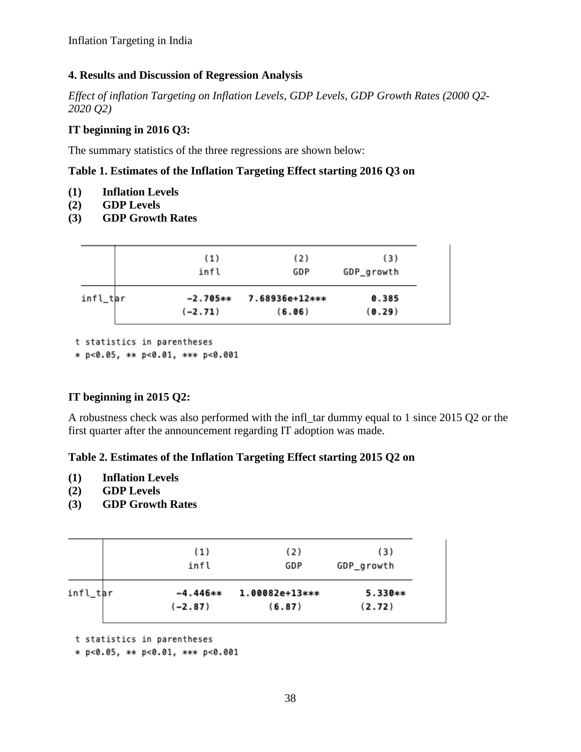#### **4. Results and Discussion of Regression Analysis**

*Effect of inflation Targeting on Inflation Levels, GDP Levels, GDP Growth Rates (2000 Q2- 2020 Q2)*

#### **IT beginning in 2016 Q3:**

The summary statistics of the three regressions are shown below:

#### **Table 1. Estimates of the Inflation Targeting Effect starting 2016 Q3 on**

- **(1) Inflation Levels**
- **(2) GDP Levels**
- **(3) GDP Growth Rates**

|          | (1)        | (2)            | (3)        |
|----------|------------|----------------|------------|
|          | infl       | GDP            | GDP_growth |
| infl_tar | $-2.705**$ | 7.68936e+12*** | 0.385      |
|          | $(-2.71)$  | (6.06)         | (0.29)     |

t statistics in parentheses

\* p<0.05, \*\* p<0.01, \*\*\* p<0.001

#### **IT beginning in 2015 Q2:**

A robustness check was also performed with the infl\_tar dummy equal to 1 since 2015 Q2 or the first quarter after the announcement regarding IT adoption was made.

#### **Table 2. Estimates of the Inflation Targeting Effect starting 2015 Q2 on**

- **(1) Inflation Levels**
- **(2) GDP Levels**
- **(3) GDP Growth Rates**

|          | (1)<br>infl | (2)<br>GDP     | (3)<br>GDP_growth |
|----------|-------------|----------------|-------------------|
| infl_tar | $-4.446**$  | 1.00082e+13*** | 5.330**           |
|          | $(-2.87)$   | (6.87)         | (2.72)            |

t statistics in parentheses

\* p<0.05, \*\* p<0.01, \*\*\* p<0.001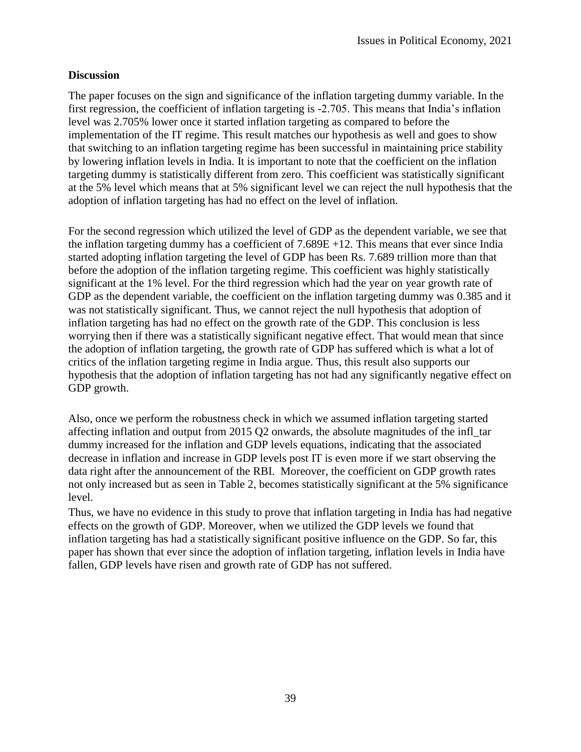#### **Discussion**

The paper focuses on the sign and significance of the inflation targeting dummy variable. In the first regression, the coefficient of inflation targeting is -2.705. This means that India's inflation level was 2.705% lower once it started inflation targeting as compared to before the implementation of the IT regime. This result matches our hypothesis as well and goes to show that switching to an inflation targeting regime has been successful in maintaining price stability by lowering inflation levels in India. It is important to note that the coefficient on the inflation targeting dummy is statistically different from zero. This coefficient was statistically significant at the 5% level which means that at 5% significant level we can reject the null hypothesis that the adoption of inflation targeting has had no effect on the level of inflation.

For the second regression which utilized the level of GDP as the dependent variable, we see that the inflation targeting dummy has a coefficient of  $7.689E + 12$ . This means that ever since India started adopting inflation targeting the level of GDP has been Rs. 7.689 trillion more than that before the adoption of the inflation targeting regime. This coefficient was highly statistically significant at the 1% level. For the third regression which had the year on year growth rate of GDP as the dependent variable, the coefficient on the inflation targeting dummy was 0.385 and it was not statistically significant. Thus, we cannot reject the null hypothesis that adoption of inflation targeting has had no effect on the growth rate of the GDP. This conclusion is less worrying then if there was a statistically significant negative effect. That would mean that since the adoption of inflation targeting, the growth rate of GDP has suffered which is what a lot of critics of the inflation targeting regime in India argue. Thus, this result also supports our hypothesis that the adoption of inflation targeting has not had any significantly negative effect on GDP growth.

Also, once we perform the robustness check in which we assumed inflation targeting started affecting inflation and output from 2015 Q2 onwards, the absolute magnitudes of the infl\_tar dummy increased for the inflation and GDP levels equations, indicating that the associated decrease in inflation and increase in GDP levels post IT is even more if we start observing the data right after the announcement of the RBI. Moreover, the coefficient on GDP growth rates not only increased but as seen in Table 2, becomes statistically significant at the 5% significance level.

Thus, we have no evidence in this study to prove that inflation targeting in India has had negative effects on the growth of GDP. Moreover, when we utilized the GDP levels we found that inflation targeting has had a statistically significant positive influence on the GDP. So far, this paper has shown that ever since the adoption of inflation targeting, inflation levels in India have fallen, GDP levels have risen and growth rate of GDP has not suffered.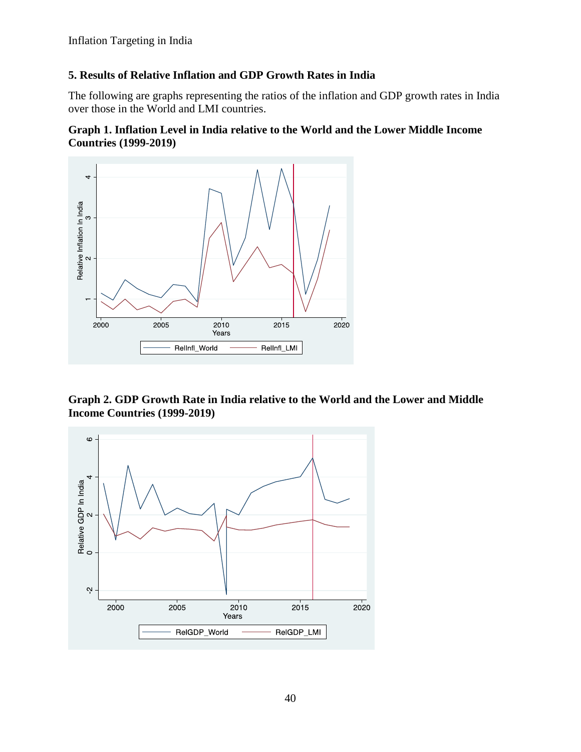Inflation Targeting in India

### **5. Results of Relative Inflation and GDP Growth Rates in India**

The following are graphs representing the ratios of the inflation and GDP growth rates in India over those in the World and LMI countries.

#### **Graph 1. Inflation Level in India relative to the World and the Lower Middle Income Countries (1999-2019)**



**Graph 2. GDP Growth Rate in India relative to the World and the Lower and Middle Income Countries (1999-2019)**

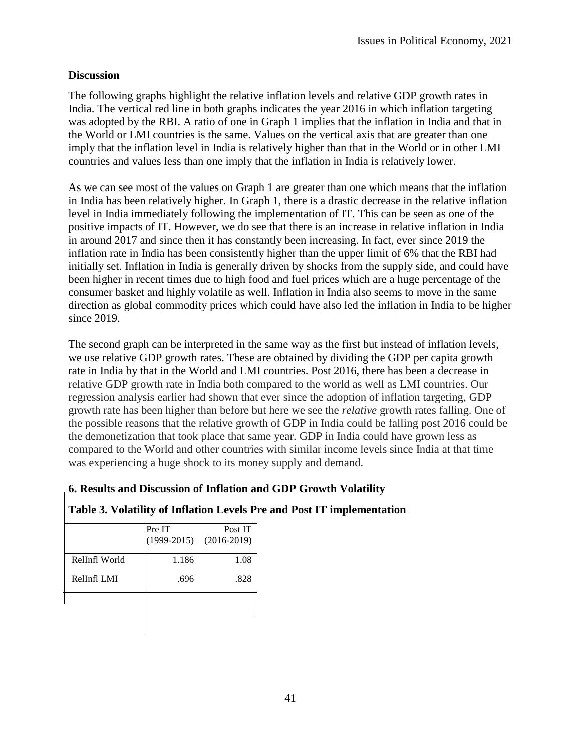#### **Discussion**

The following graphs highlight the relative inflation levels and relative GDP growth rates in India. The vertical red line in both graphs indicates the year 2016 in which inflation targeting was adopted by the RBI. A ratio of one in Graph 1 implies that the inflation in India and that in the World or LMI countries is the same. Values on the vertical axis that are greater than one imply that the inflation level in India is relatively higher than that in the World or in other LMI countries and values less than one imply that the inflation in India is relatively lower.

As we can see most of the values on Graph 1 are greater than one which means that the inflation in India has been relatively higher. In Graph 1, there is a drastic decrease in the relative inflation level in India immediately following the implementation of IT. This can be seen as one of the positive impacts of IT. However, we do see that there is an increase in relative inflation in India in around 2017 and since then it has constantly been increasing. In fact, ever since 2019 the inflation rate in India has been consistently higher than the upper limit of 6% that the RBI had initially set. Inflation in India is generally driven by shocks from the supply side, and could have been higher in recent times due to high food and fuel prices which are a huge percentage of the consumer basket and highly volatile as well. Inflation in India also seems to move in the same direction as global commodity prices which could have also led the inflation in India to be higher since 2019.

The second graph can be interpreted in the same way as the first but instead of inflation levels, we use relative GDP growth rates. These are obtained by dividing the GDP per capita growth rate in India by that in the World and LMI countries. Post 2016, there has been a decrease in relative GDP growth rate in India both compared to the world as well as LMI countries. Our regression analysis earlier had shown that ever since the adoption of inflation targeting, GDP growth rate has been higher than before but here we see the *relative* growth rates falling. One of the possible reasons that the relative growth of GDP in India could be falling post 2016 could be the demonetization that took place that same year. GDP in India could have grown less as compared to the World and other countries with similar income levels since India at that time was experiencing a huge shock to its money supply and demand.

### **6. Results and Discussion of Inflation and GDP Growth Volatility**

# **Table 3. Volatility of Inflation Levels Pre and Post IT implementation**

|               | Pre IT | Post IT<br>$(1999-2015)$ $(2016-2019)$ |
|---------------|--------|----------------------------------------|
| RelInfl World | 1.186  | 1.08                                   |
| RelInfl LMI   | .696   | .828                                   |
|               |        |                                        |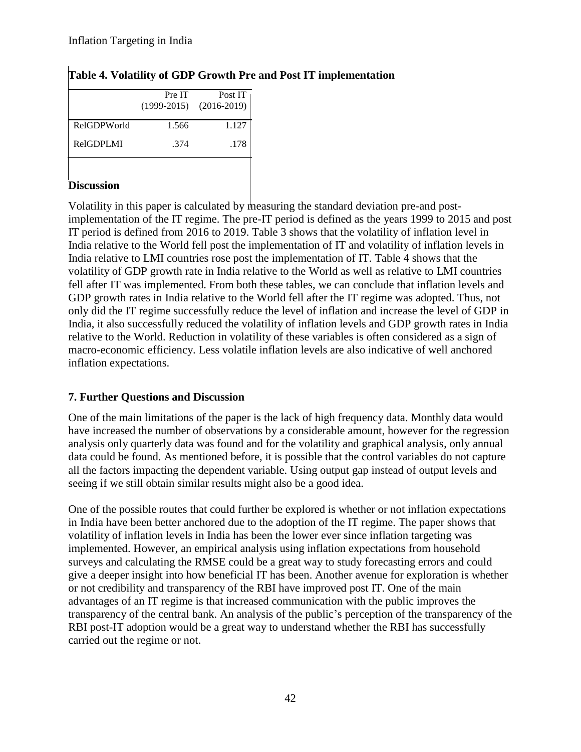|             | Pre IT | Post IT<br>$(1999-2015)$ $(2016-2019)$ |
|-------------|--------|----------------------------------------|
| RelGDPWorld | 1.566  | 1.127                                  |
| RelGDPLMI   | .374   | .178                                   |
|             |        |                                        |

# **Table 4. Volatility of GDP Growth Pre and Post IT implementation**

### **Discussion**

Volatility in this paper is calculated by measuring the standard deviation pre-and postimplementation of the IT regime. The pre-IT period is defined as the years 1999 to 2015 and post IT period is defined from 2016 to 2019. Table 3 shows that the volatility of inflation level in India relative to the World fell post the implementation of IT and volatility of inflation levels in India relative to LMI countries rose post the implementation of IT. Table 4 shows that the volatility of GDP growth rate in India relative to the World as well as relative to LMI countries fell after IT was implemented. From both these tables, we can conclude that inflation levels and GDP growth rates in India relative to the World fell after the IT regime was adopted. Thus, not only did the IT regime successfully reduce the level of inflation and increase the level of GDP in India, it also successfully reduced the volatility of inflation levels and GDP growth rates in India relative to the World. Reduction in volatility of these variables is often considered as a sign of macro-economic efficiency. Less volatile inflation levels are also indicative of well anchored inflation expectations.

### **7. Further Questions and Discussion**

One of the main limitations of the paper is the lack of high frequency data. Monthly data would have increased the number of observations by a considerable amount, however for the regression analysis only quarterly data was found and for the volatility and graphical analysis, only annual data could be found. As mentioned before, it is possible that the control variables do not capture all the factors impacting the dependent variable. Using output gap instead of output levels and seeing if we still obtain similar results might also be a good idea.

One of the possible routes that could further be explored is whether or not inflation expectations in India have been better anchored due to the adoption of the IT regime. The paper shows that volatility of inflation levels in India has been the lower ever since inflation targeting was implemented. However, an empirical analysis using inflation expectations from household surveys and calculating the RMSE could be a great way to study forecasting errors and could give a deeper insight into how beneficial IT has been. Another avenue for exploration is whether or not credibility and transparency of the RBI have improved post IT. One of the main advantages of an IT regime is that increased communication with the public improves the transparency of the central bank. An analysis of the public's perception of the transparency of the RBI post-IT adoption would be a great way to understand whether the RBI has successfully carried out the regime or not.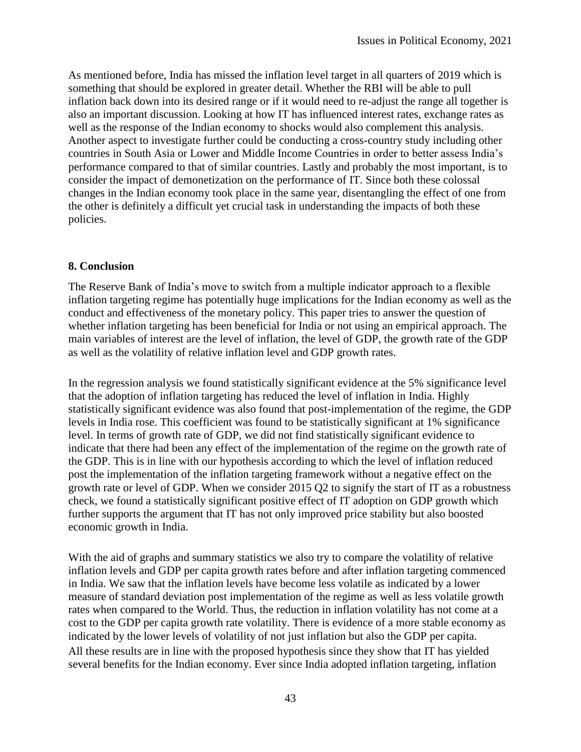As mentioned before, India has missed the inflation level target in all quarters of 2019 which is something that should be explored in greater detail. Whether the RBI will be able to pull inflation back down into its desired range or if it would need to re-adjust the range all together is also an important discussion. Looking at how IT has influenced interest rates, exchange rates as well as the response of the Indian economy to shocks would also complement this analysis. Another aspect to investigate further could be conducting a cross-country study including other countries in South Asia or Lower and Middle Income Countries in order to better assess India's performance compared to that of similar countries. Lastly and probably the most important, is to consider the impact of demonetization on the performance of IT. Since both these colossal changes in the Indian economy took place in the same year, disentangling the effect of one from the other is definitely a difficult yet crucial task in understanding the impacts of both these policies.

#### **8. Conclusion**

The Reserve Bank of India's move to switch from a multiple indicator approach to a flexible inflation targeting regime has potentially huge implications for the Indian economy as well as the conduct and effectiveness of the monetary policy. This paper tries to answer the question of whether inflation targeting has been beneficial for India or not using an empirical approach. The main variables of interest are the level of inflation, the level of GDP, the growth rate of the GDP as well as the volatility of relative inflation level and GDP growth rates.

In the regression analysis we found statistically significant evidence at the 5% significance level that the adoption of inflation targeting has reduced the level of inflation in India. Highly statistically significant evidence was also found that post-implementation of the regime, the GDP levels in India rose. This coefficient was found to be statistically significant at 1% significance level. In terms of growth rate of GDP, we did not find statistically significant evidence to indicate that there had been any effect of the implementation of the regime on the growth rate of the GDP. This is in line with our hypothesis according to which the level of inflation reduced post the implementation of the inflation targeting framework without a negative effect on the growth rate or level of GDP. When we consider 2015 Q2 to signify the start of IT as a robustness check, we found a statistically significant positive effect of IT adoption on GDP growth which further supports the argument that IT has not only improved price stability but also boosted economic growth in India.

With the aid of graphs and summary statistics we also try to compare the volatility of relative inflation levels and GDP per capita growth rates before and after inflation targeting commenced in India. We saw that the inflation levels have become less volatile as indicated by a lower measure of standard deviation post implementation of the regime as well as less volatile growth rates when compared to the World. Thus, the reduction in inflation volatility has not come at a cost to the GDP per capita growth rate volatility. There is evidence of a more stable economy as indicated by the lower levels of volatility of not just inflation but also the GDP per capita. All these results are in line with the proposed hypothesis since they show that IT has yielded several benefits for the Indian economy. Ever since India adopted inflation targeting, inflation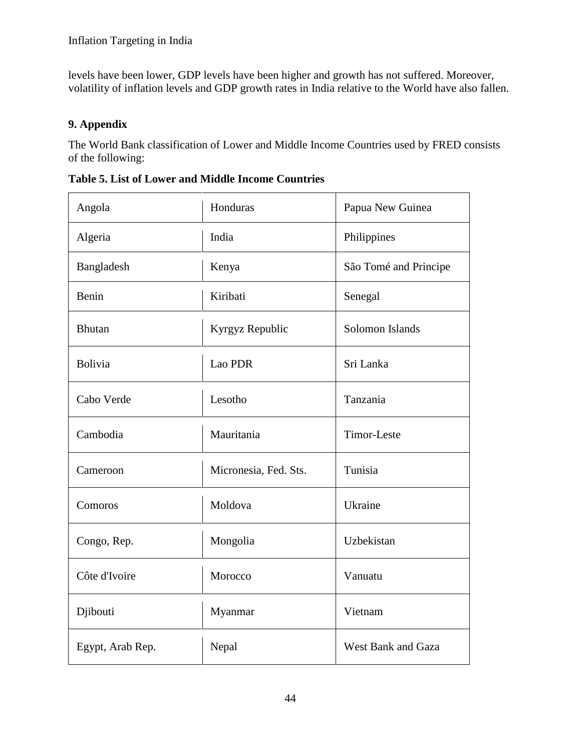levels have been lower, GDP levels have been higher and growth has not suffered. Moreover, volatility of inflation levels and GDP growth rates in India relative to the World have also fallen.

# **9. Appendix**

The World Bank classification of Lower and Middle Income Countries used by FRED consists of the following:

| Angola           | Honduras              | Papua New Guinea      |  |
|------------------|-----------------------|-----------------------|--|
| Algeria          | India                 | Philippines           |  |
| Bangladesh       | Kenya                 | São Tomé and Principe |  |
| Benin            | Kiribati              | Senegal               |  |
| <b>Bhutan</b>    | Kyrgyz Republic       | Solomon Islands       |  |
| Bolivia          | Lao PDR               | Sri Lanka             |  |
| Cabo Verde       | Lesotho               | Tanzania              |  |
| Cambodia         | Mauritania            | Timor-Leste           |  |
| Cameroon         | Micronesia, Fed. Sts. | Tunisia               |  |
| Comoros          | Moldova               | Ukraine               |  |
| Congo, Rep.      | Mongolia              | Uzbekistan            |  |
| Côte d'Ivoire    | Morocco               | Vanuatu               |  |
| Djibouti         | Myanmar               | Vietnam               |  |
| Egypt, Arab Rep. | Nepal                 | West Bank and Gaza    |  |

**Table 5. List of Lower and Middle Income Countries**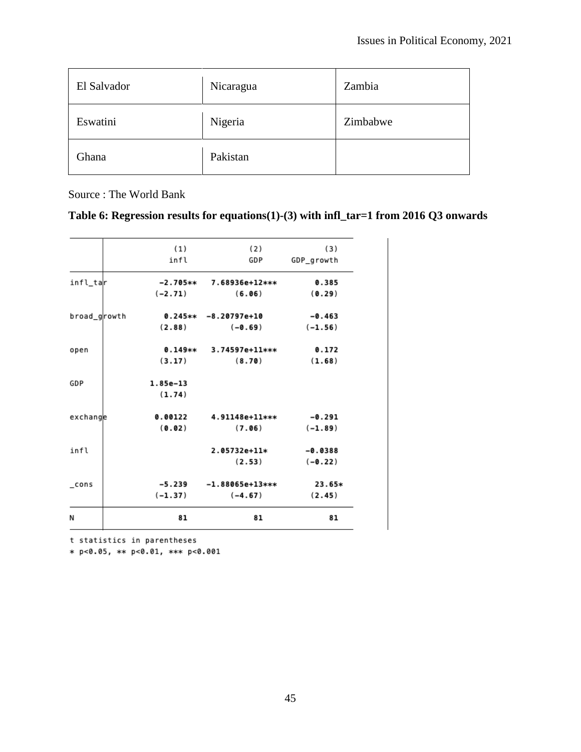| El Salvador | Nicaragua | Zambia   |
|-------------|-----------|----------|
| Eswatini    | Nigeria   | Zimbabwe |
| Ghana       | Pakistan  |          |

Source : The World Bank

| Table 6: Regression results for equations(1)-(3) with $\inf$ _tar=1 from 2016 Q3 onwards |  |  |  |
|------------------------------------------------------------------------------------------|--|--|--|
|                                                                                          |  |  |  |

|                    | (1)        | (2)                    | (3)        |
|--------------------|------------|------------------------|------------|
|                    | infl       | GDP                    | GDP_growth |
| infl_tar           | -2.705**   | 7.68936e+12***         | 0.385      |
|                    | $(-2.71)$  | (6.06)                 | (0.29)     |
| broad_growth       |            | $0.245** -8.20797e+10$ | $-0.463$   |
|                    | (2.88)     | $(-0.69)$              | $(-1.56)$  |
| open               | $0.149**$  | 3.74597e+11***         | 0.172      |
|                    | (3.17)     | (8.70)                 | (1.68)     |
| GDP                | $1.85e-13$ |                        |            |
|                    | (1.74)     |                        |            |
| exchange           | 0.00122    | 4.91148e+11***         | -0.291     |
|                    | (0.02)     | (7.06)                 | $(-1.89)$  |
| infl               |            | 2.05732e+11*           | $-0.0388$  |
|                    |            | (2.53)                 | $(-0.22)$  |
| $_{\rm \sim}$ cons | $-5.239$   | $-1.88065e+13***$      | 23.65*     |
|                    | $(-1.37)$  | $(-4.67)$              | (2.45)     |
| Ν                  | 81         | 81                     | 81         |

t statistics in parentheses

\* p<0.05, \*\* p<0.01, \*\*\* p<0.001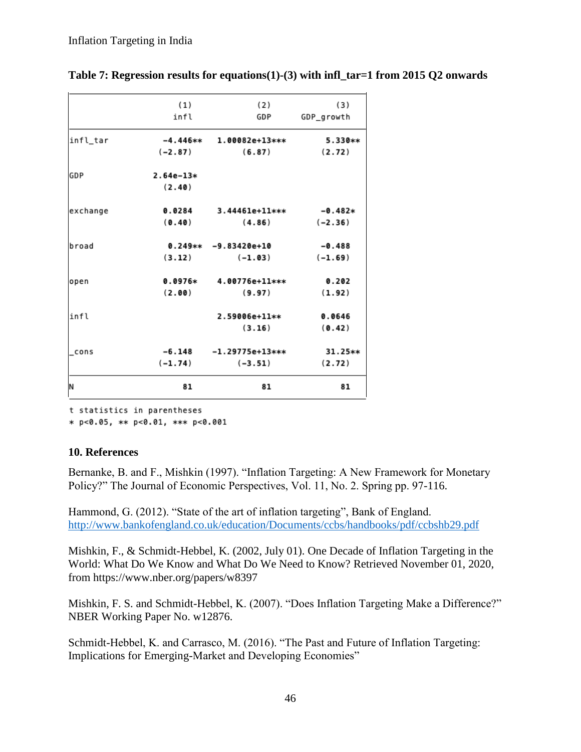|          | (1)<br>infl | (2)<br>GDP             | (3)<br>GDP_growth |
|----------|-------------|------------------------|-------------------|
| infl_tar | -4.446**    | <b>1.00082e+13***</b>  | 5.330**           |
|          | $(-2.87)$   | (6.87)                 | (2.72)            |
| GDP      | $2.64e-13*$ |                        |                   |
|          | (2.40)      |                        |                   |
| exchange | 0.0284      | $3.44461e+11***$       | $-0.482*$         |
|          | (0.40)      | (4.86)                 | $(-2.36)$         |
| broad    |             | $0.249** -9.83420e+10$ | $-0.488$          |
|          | (3.12)      | $(-1.03)$              | $(-1.69)$         |
| open     | $0.0976*$   | 4.00776e+11***         | 0.202             |
|          | (2.00)      | (9.97)                 | (1.92)            |
| infl     |             | 2.59006e+11**          | 0.0646            |
|          |             | (3.16)                 | (0.42)            |
| cons     | $-6.148$    | $-1.29775e+13***$      | 31.25**           |
|          | $(-1.74)$   | $(-3.51)$              | (2.72)            |
| N        | 81          | 81                     | 81                |

**Table 7: Regression results for equations(1)-(3) with infl\_tar=1 from 2015 Q2 onwards** 

t statistics in parentheses

\* p<0.05, \*\* p<0.01, \*\*\* p<0.001

#### **10. References**

Bernanke, B. and F., Mishkin (1997). "Inflation Targeting: A New Framework for Monetary Policy?" The Journal of Economic Perspectives, Vol. 11, No. 2. Spring pp. 97-116.

Hammond, G. (2012). "State of the art of inflation targeting", Bank of England. <http://www.bankofengland.co.uk/education/Documents/ccbs/handbooks/pdf/ccbshb29.pdf>

Mishkin, F., & Schmidt-Hebbel, K. (2002, July 01). One Decade of Inflation Targeting in the World: What Do We Know and What Do We Need to Know? Retrieved November 01, 2020, from https://www.nber.org/papers/w8397

Mishkin, F. S. and Schmidt-Hebbel, K. (2007). "Does Inflation Targeting Make a Difference?" NBER Working Paper No. w12876.

Schmidt-Hebbel, K. and Carrasco, M. (2016). "The Past and Future of Inflation Targeting: Implications for Emerging-Market and Developing Economies"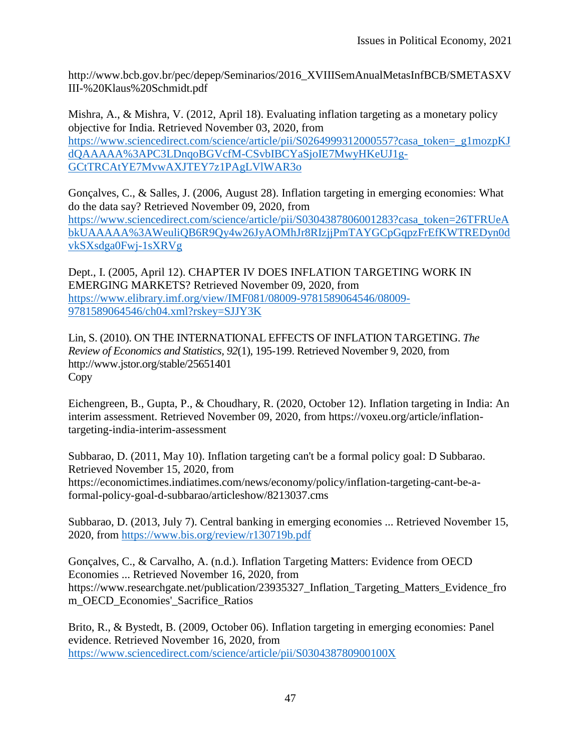http://www.bcb.gov.br/pec/depep/Seminarios/2016\_XVIIISemAnualMetasInfBCB/SMETASXV III-%20Klaus%20Schmidt.pdf

Mishra, A., & Mishra, V. (2012, April 18). Evaluating inflation targeting as a monetary policy objective for India. Retrieved November 03, 2020, from [https://www.sciencedirect.com/science/article/pii/S0264999312000557?casa\\_token=\\_g1mozpKJ](https://www.sciencedirect.com/science/article/pii/S0264999312000557?casa_token=_g1mozpKJdQAAAAA%3APC3LDnqoBGVcfM-CSvbIBCYaSjoIE7MwyHKeUJ1g-GCtTRCAtYE7MvwAXJTEY7z1PAgLVlWAR3o) [dQAAAAA%3APC3LDnqoBGVcfM-CSvbIBCYaSjoIE7MwyHKeUJ1g-](https://www.sciencedirect.com/science/article/pii/S0264999312000557?casa_token=_g1mozpKJdQAAAAA%3APC3LDnqoBGVcfM-CSvbIBCYaSjoIE7MwyHKeUJ1g-GCtTRCAtYE7MvwAXJTEY7z1PAgLVlWAR3o)[GCtTRCAtYE7MvwAXJTEY7z1PAgLVlWAR3o](https://www.sciencedirect.com/science/article/pii/S0264999312000557?casa_token=_g1mozpKJdQAAAAA%3APC3LDnqoBGVcfM-CSvbIBCYaSjoIE7MwyHKeUJ1g-GCtTRCAtYE7MvwAXJTEY7z1PAgLVlWAR3o)

Gonçalves, C., & Salles, J. (2006, August 28). Inflation targeting in emerging economies: What do the data say? Retrieved November 09, 2020, from [https://www.sciencedirect.com/science/article/pii/S0304387806001283?casa\\_token=26TFRUeA](https://www.sciencedirect.com/science/article/pii/S0304387806001283?casa_token=26TFRUeAbkUAAAAA%3AWeuliQB6R9Qy4w26JyAOMhJr8RIzjjPmTAYGCpGqpzFrEfKWTREDyn0dvkSXsdga0Fwj-1sXRVg) [bkUAAAAA%3AWeuliQB6R9Qy4w26JyAOMhJr8RIzjjPmTAYGCpGqpzFrEfKWTREDyn0d](https://www.sciencedirect.com/science/article/pii/S0304387806001283?casa_token=26TFRUeAbkUAAAAA%3AWeuliQB6R9Qy4w26JyAOMhJr8RIzjjPmTAYGCpGqpzFrEfKWTREDyn0dvkSXsdga0Fwj-1sXRVg) [vkSXsdga0Fwj-1sXRVg](https://www.sciencedirect.com/science/article/pii/S0304387806001283?casa_token=26TFRUeAbkUAAAAA%3AWeuliQB6R9Qy4w26JyAOMhJr8RIzjjPmTAYGCpGqpzFrEfKWTREDyn0dvkSXsdga0Fwj-1sXRVg)

Dept., I. (2005, April 12). CHAPTER IV DOES INFLATION TARGETING WORK IN EMERGING MARKETS? Retrieved November 09, 2020, from [https://www.elibrary.imf.org/view/IMF081/08009-9781589064546/08009-](https://www.elibrary.imf.org/view/IMF081/08009-9781589064546/08009-9781589064546/ch04.xml?rskey=SJJY3K) [9781589064546/ch04.xml?rskey=SJJY3K](https://www.elibrary.imf.org/view/IMF081/08009-9781589064546/08009-9781589064546/ch04.xml?rskey=SJJY3K)

Lin, S. (2010). ON THE INTERNATIONAL EFFECTS OF INFLATION TARGETING. *The Review of Economics and Statistics, 92*(1), 195-199. Retrieved November 9, 2020, from http://www.jstor.org/stable/25651401 Copy

Eichengreen, B., Gupta, P., & Choudhary, R. (2020, October 12). Inflation targeting in India: An interim assessment. Retrieved November 09, 2020, from https://voxeu.org/article/inflationtargeting-india-interim-assessment

Subbarao, D. (2011, May 10). Inflation targeting can't be a formal policy goal: D Subbarao. Retrieved November 15, 2020, from https://economictimes.indiatimes.com/news/economy/policy/inflation-targeting-cant-be-aformal-policy-goal-d-subbarao/articleshow/8213037.cms

Subbarao, D. (2013, July 7). Central banking in emerging economies ... Retrieved November 15, 2020, from<https://www.bis.org/review/r130719b.pdf>

Gonçalves, C., & Carvalho, A. (n.d.). Inflation Targeting Matters: Evidence from OECD Economies ... Retrieved November 16, 2020, from https://www.researchgate.net/publication/23935327\_Inflation\_Targeting\_Matters\_Evidence\_fro m\_OECD\_Economies'\_Sacrifice\_Ratios

Brito, R., & Bystedt, B. (2009, October 06). Inflation targeting in emerging economies: Panel evidence. Retrieved November 16, 2020, from <https://www.sciencedirect.com/science/article/pii/S030438780900100X>